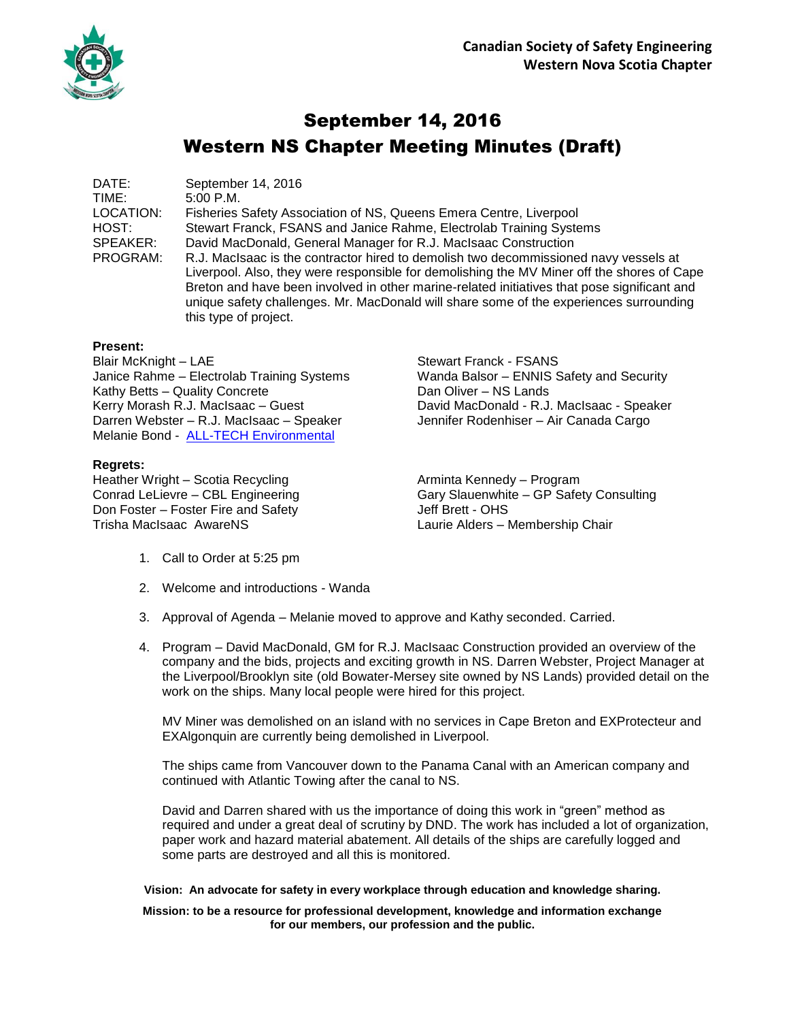

# September 14, 2016 Western NS Chapter Meeting Minutes (Draft)

DATE: September 14, 2016 TIME: 5:00 P.M. LOCATION: Fisheries Safety Association of NS, Queens Emera Centre, Liverpool HOST: Stewart Franck, FSANS and Janice Rahme, Electrolab Training Systems SPEAKER: David MacDonald, General Manager for R.J. MacIsaac Construction PROGRAM: R.J. MacIsaac is the contractor hired to demolish two decommissioned navy vessels at Liverpool. Also, they were responsible for demolishing the MV Miner off the shores of Cape Breton and have been involved in other marine-related initiatives that pose significant and unique safety challenges. Mr. MacDonald will share some of the experiences surrounding

#### **Present:**

Blair McKnight – LAE Stewart Franck - FSANS Janice Rahme – Electrolab Training Systems Wanda Balsor – ENNIS Safety and Security Kathy Betts – Quality Concrete **Dan Oliver – NS Lands** Kerry Morash R.J. MacIsaac – Guest David MacDonald - R.J. MacIsaac - Speaker Darren Webster – R.J. MacIsaac – Speaker Jennifer Rodenhiser – Air Canada Cargo Melanie Bond - [ALL-TECH Environmental](http://www.toalltech.com/)

this type of project.

#### **Regrets:**

Heather Wright – Scotia Recycling and Arminta Kennedy – Program Don Foster – Foster Fire and Safety Jeff Brett - OHS Trisha MacIsaac AwareNS Laurie Alders – Membership Chair

Conrad LeLievre – CBL Engineering Gary Slauenwhite – GP Safety Consulting

- 1. Call to Order at 5:25 pm
- 2. Welcome and introductions Wanda
- 3. Approval of Agenda Melanie moved to approve and Kathy seconded. Carried.
- 4. Program David MacDonald, GM for R.J. MacIsaac Construction provided an overview of the company and the bids, projects and exciting growth in NS. Darren Webster, Project Manager at the Liverpool/Brooklyn site (old Bowater-Mersey site owned by NS Lands) provided detail on the work on the ships. Many local people were hired for this project.

MV Miner was demolished on an island with no services in Cape Breton and EXProtecteur and EXAlgonquin are currently being demolished in Liverpool.

The ships came from Vancouver down to the Panama Canal with an American company and continued with Atlantic Towing after the canal to NS.

David and Darren shared with us the importance of doing this work in "green" method as required and under a great deal of scrutiny by DND. The work has included a lot of organization, paper work and hazard material abatement. All details of the ships are carefully logged and some parts are destroyed and all this is monitored.

#### **Vision: An advocate for safety in every workplace through education and knowledge sharing.**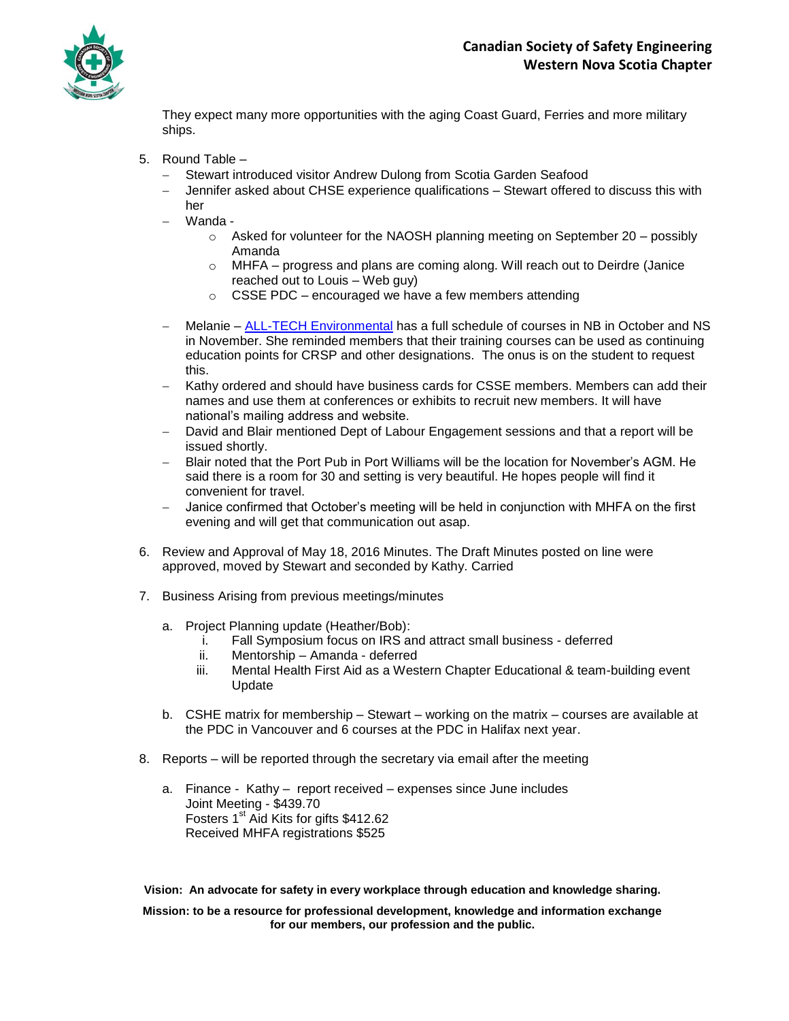

They expect many more opportunities with the aging Coast Guard, Ferries and more military ships.

- 5. Round Table
	- Stewart introduced visitor Andrew Dulong from Scotia Garden Seafood
	- Jennifer asked about CHSE experience qualifications Stewart offered to discuss this with her
	- Wanda
		- $\circ$  Asked for volunteer for the NAOSH planning meeting on September 20 possibly Amanda
		- $\circ$  MHFA progress and plans are coming along. Will reach out to Deirdre (Janice reached out to Louis – Web guy)
		- o CSSE PDC encouraged we have a few members attending
	- Melanie [ALL-TECH Environmental](http://www.toalltech.com/) has a full schedule of courses in NB in October and NS in November. She reminded members that their training courses can be used as continuing education points for CRSP and other designations. The onus is on the student to request this.
	- Kathy ordered and should have business cards for CSSE members. Members can add their names and use them at conferences or exhibits to recruit new members. It will have national's mailing address and website.
	- David and Blair mentioned Dept of Labour Engagement sessions and that a report will be issued shortly.
	- Blair noted that the Port Pub in Port Williams will be the location for November's AGM. He said there is a room for 30 and setting is very beautiful. He hopes people will find it convenient for travel.
	- Janice confirmed that October's meeting will be held in conjunction with MHFA on the first evening and will get that communication out asap.
- 6. Review and Approval of May 18, 2016 Minutes. The Draft Minutes posted on line were approved, moved by Stewart and seconded by Kathy. Carried
- 7. Business Arising from previous meetings/minutes
	- a. Project Planning update (Heather/Bob):
		- i. Fall Symposium focus on IRS and attract small business deferred
		- ii. Mentorship Amanda deferred
		- iii. Mental Health First Aid as a Western Chapter Educational & team-building event Update
	- b. CSHE matrix for membership Stewart working on the matrix courses are available at the PDC in Vancouver and 6 courses at the PDC in Halifax next year.
- 8. Reports will be reported through the secretary via email after the meeting
	- a. Finance Kathy report received expenses since June includes Joint Meeting - \$439.70 Fosters 1<sup>st</sup> Aid Kits for gifts \$412.62 Received MHFA registrations \$525

**Vision: An advocate for safety in every workplace through education and knowledge sharing.**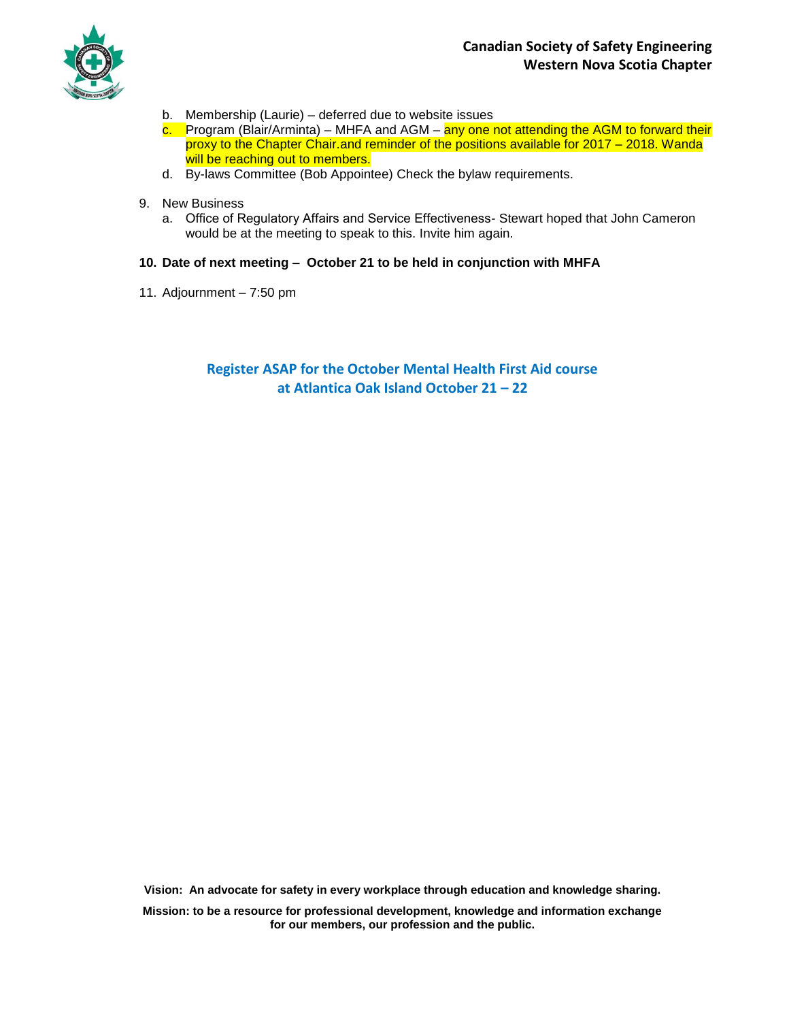

- b. Membership (Laurie) deferred due to website issues
- c. Program (Blair/Arminta) MHFA and AGM any one not attending the AGM to forward their proxy to the Chapter Chair.and reminder of the positions available for 2017 – 2018. Wanda will be reaching out to members.
- d. By-laws Committee (Bob Appointee) Check the bylaw requirements.
- 9. New Business
	- a. Office of Regulatory Affairs and Service Effectiveness- Stewart hoped that John Cameron would be at the meeting to speak to this. Invite him again.

### **10. Date of next meeting – October 21 to be held in conjunction with MHFA**

11. Adjournment – 7:50 pm

## **Register ASAP for the October Mental Health First Aid course at Atlantica Oak Island October 21 – 22**

**Vision: An advocate for safety in every workplace through education and knowledge sharing.**